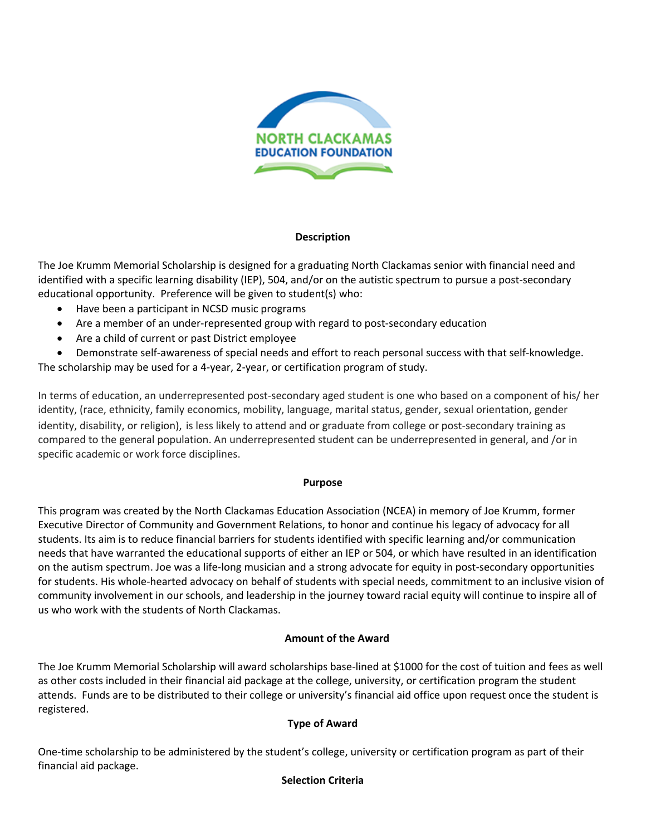

## **Description**

The Joe Krumm Memorial Scholarship is designed for a graduating North Clackamas senior with financial need and identified with a specific learning disability (IEP), 504, and/or on the autistic spectrum to pursue a post-secondary educational opportunity. Preference will be given to student(s) who:

- Have been a participant in NCSD music programs
- Are a member of an under-represented group with regard to post-secondary education
- Are a child of current or past District employee
- Demonstrate self-awareness of special needs and effort to reach personal success with that self-knowledge.

The scholarship may be used for a 4-year, 2-year, or certification program of study.

In terms of education, an underrepresented post-secondary aged student is one who based on a component of his/ her identity, (race, ethnicity, family economics, mobility, language, marital status, gender, sexual orientation, gender identity, disability, or religion), is less likely to attend and or graduate from college or post-secondary training as compared to the general population. An underrepresented student can be underrepresented in general, and /or in specific academic or work force disciplines.

## **Purpose**

This program was created by the North Clackamas Education Association (NCEA) in memory of Joe Krumm, former Executive Director of Community and Government Relations, to honor and continue his legacy of advocacy for all students. Its aim is to reduce financial barriers for students identified with specific learning and/or communication needs that have warranted the educational supports of either an IEP or 504, or which have resulted in an identification on the autism spectrum. Joe was a life-long musician and a strong advocate for equity in post-secondary opportunities for students. His whole-hearted advocacy on behalf of students with special needs, commitment to an inclusive vision of community involvement in our schools, and leadership in the journey toward racial equity will continue to inspire all of us who work with the students of North Clackamas.

# **Amount of the Award**

The Joe Krumm Memorial Scholarship will award scholarships base-lined at \$1000 for the cost of tuition and fees as well as other costs included in their financial aid package at the college, university, or certification program the student attends. Funds are to be distributed to their college or university's financial aid office upon request once the student is registered.

# **Type of Award**

One-time scholarship to be administered by the student's college, university or certification program as part of their financial aid package.

# **Selection Criteria**